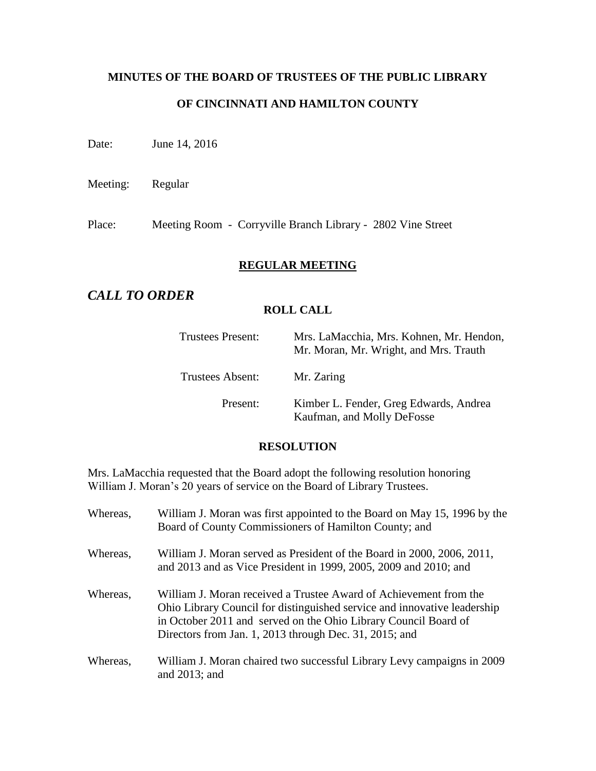# **MINUTES OF THE BOARD OF TRUSTEES OF THE PUBLIC LIBRARY OF CINCINNATI AND HAMILTON COUNTY**

Date: June 14, 2016

Meeting: Regular

Place: Meeting Room - Corryville Branch Library - 2802 Vine Street

## **REGULAR MEETING**

# *CALL TO ORDER*

## **ROLL CALL**

| Trustees Present:       | Mrs. LaMacchia, Mrs. Kohnen, Mr. Hendon,<br>Mr. Moran, Mr. Wright, and Mrs. Trauth |
|-------------------------|------------------------------------------------------------------------------------|
| <b>Trustees Absent:</b> | Mr. Zaring                                                                         |
| Present:                | Kimber L. Fender, Greg Edwards, Andrea<br>Kaufman, and Molly DeFosse               |

#### **RESOLUTION**

Mrs. LaMacchia requested that the Board adopt the following resolution honoring William J. Moran's 20 years of service on the Board of Library Trustees.

| Whereas, | William J. Moran was first appointed to the Board on May 15, 1996 by the<br>Board of County Commissioners of Hamilton County; and                                                                                                                                          |
|----------|----------------------------------------------------------------------------------------------------------------------------------------------------------------------------------------------------------------------------------------------------------------------------|
| Whereas, | William J. Moran served as President of the Board in 2000, 2006, 2011,<br>and 2013 and as Vice President in 1999, 2005, 2009 and 2010; and                                                                                                                                 |
| Whereas, | William J. Moran received a Trustee Award of Achievement from the<br>Ohio Library Council for distinguished service and innovative leadership<br>in October 2011 and served on the Ohio Library Council Board of<br>Directors from Jan. 1, 2013 through Dec. 31, 2015; and |
| Whereas. | William J. Moran chaired two successful Library Levy campaigns in 2009<br>and $2013$ ; and                                                                                                                                                                                 |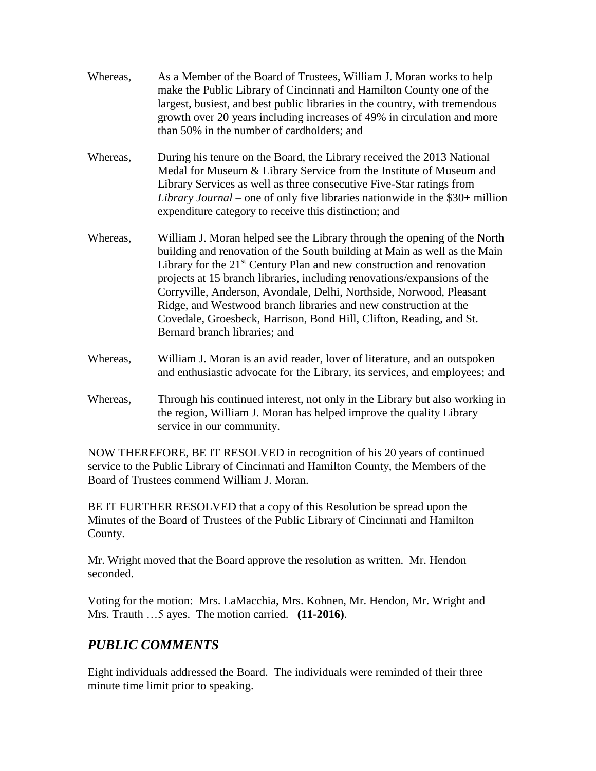- Whereas, As a Member of the Board of Trustees, William J. Moran works to help make the Public Library of Cincinnati and Hamilton County one of the largest, busiest, and best public libraries in the country, with tremendous growth over 20 years including increases of 49% in circulation and more than 50% in the number of cardholders; and
- Whereas, During his tenure on the Board, the Library received the 2013 National Medal for Museum & Library Service from the Institute of Museum and Library Services as well as three consecutive Five-Star ratings from *Library Journal* – one of only five libraries nationwide in the \$30+ million expenditure category to receive this distinction; and
- Whereas, William J. Moran helped see the Library through the opening of the North building and renovation of the South building at Main as well as the Main Library for the  $21<sup>st</sup>$  Century Plan and new construction and renovation projects at 15 branch libraries, including renovations/expansions of the Corryville, Anderson, Avondale, Delhi, Northside, Norwood, Pleasant Ridge, and Westwood branch libraries and new construction at the Covedale, Groesbeck, Harrison, Bond Hill, Clifton, Reading, and St. Bernard branch libraries; and
- Whereas, William J. Moran is an avid reader, lover of literature, and an outspoken and enthusiastic advocate for the Library, its services, and employees; and
- Whereas, Through his continued interest, not only in the Library but also working in the region, William J. Moran has helped improve the quality Library service in our community.

NOW THEREFORE, BE IT RESOLVED in recognition of his 20 years of continued service to the Public Library of Cincinnati and Hamilton County, the Members of the Board of Trustees commend William J. Moran.

BE IT FURTHER RESOLVED that a copy of this Resolution be spread upon the Minutes of the Board of Trustees of the Public Library of Cincinnati and Hamilton County.

Mr. Wright moved that the Board approve the resolution as written. Mr. Hendon seconded.

Voting for the motion: Mrs. LaMacchia, Mrs. Kohnen, Mr. Hendon, Mr. Wright and Mrs. Trauth …5 ayes. The motion carried. **(11-2016)**.

# *PUBLIC COMMENTS*

Eight individuals addressed the Board. The individuals were reminded of their three minute time limit prior to speaking.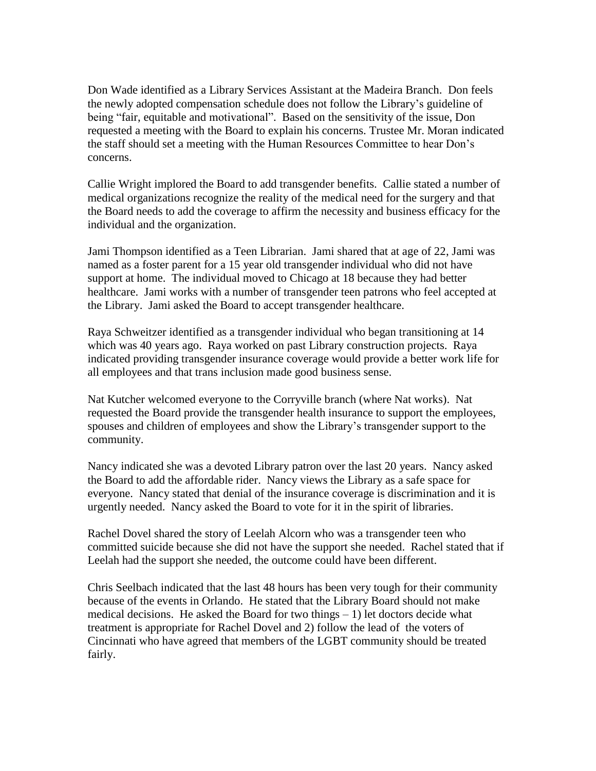Don Wade identified as a Library Services Assistant at the Madeira Branch. Don feels the newly adopted compensation schedule does not follow the Library's guideline of being "fair, equitable and motivational". Based on the sensitivity of the issue, Don requested a meeting with the Board to explain his concerns. Trustee Mr. Moran indicated the staff should set a meeting with the Human Resources Committee to hear Don's concerns.

Callie Wright implored the Board to add transgender benefits. Callie stated a number of medical organizations recognize the reality of the medical need for the surgery and that the Board needs to add the coverage to affirm the necessity and business efficacy for the individual and the organization.

Jami Thompson identified as a Teen Librarian. Jami shared that at age of 22, Jami was named as a foster parent for a 15 year old transgender individual who did not have support at home. The individual moved to Chicago at 18 because they had better healthcare. Jami works with a number of transgender teen patrons who feel accepted at the Library. Jami asked the Board to accept transgender healthcare.

Raya Schweitzer identified as a transgender individual who began transitioning at 14 which was 40 years ago. Raya worked on past Library construction projects. Raya indicated providing transgender insurance coverage would provide a better work life for all employees and that trans inclusion made good business sense.

Nat Kutcher welcomed everyone to the Corryville branch (where Nat works). Nat requested the Board provide the transgender health insurance to support the employees, spouses and children of employees and show the Library's transgender support to the community.

Nancy indicated she was a devoted Library patron over the last 20 years. Nancy asked the Board to add the affordable rider. Nancy views the Library as a safe space for everyone. Nancy stated that denial of the insurance coverage is discrimination and it is urgently needed. Nancy asked the Board to vote for it in the spirit of libraries.

Rachel Dovel shared the story of Leelah Alcorn who was a transgender teen who committed suicide because she did not have the support she needed. Rachel stated that if Leelah had the support she needed, the outcome could have been different.

Chris Seelbach indicated that the last 48 hours has been very tough for their community because of the events in Orlando. He stated that the Library Board should not make medical decisions. He asked the Board for two things  $-1$ ) let doctors decide what treatment is appropriate for Rachel Dovel and 2) follow the lead of the voters of Cincinnati who have agreed that members of the LGBT community should be treated fairly.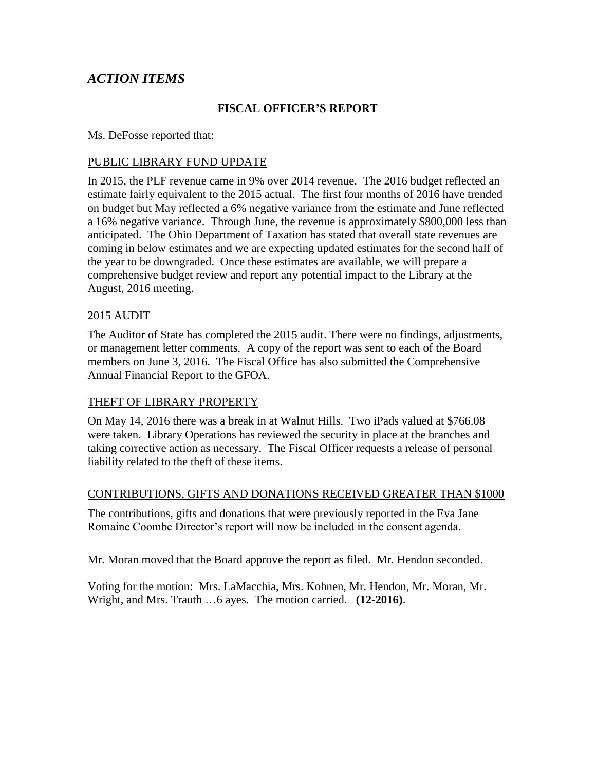# *ACTION ITEMS*

## **FISCAL OFFICER'S REPORT**

Ms. DeFosse reported that:

#### PUBLIC LIBRARY FUND UPDATE

In 2015, the PLF revenue came in 9% over 2014 revenue. The 2016 budget reflected an estimate fairly equivalent to the 2015 actual. The first four months of 2016 have trended on budget but May reflected a 6% negative variance from the estimate and June reflected a 16% negative variance. Through June, the revenue is approximately \$800,000 less than anticipated. The Ohio Department of Taxation has stated that overall state revenues are coming in below estimates and we are expecting updated estimates for the second half of the year to be downgraded. Once these estimates are available, we will prepare a comprehensive budget review and report any potential impact to the Library at the August, 2016 meeting.

#### 2015 AUDIT

The Auditor of State has completed the 2015 audit. There were no findings, adjustments, or management letter comments. A copy of the report was sent to each of the Board members on June 3, 2016. The Fiscal Office has also submitted the Comprehensive Annual Financial Report to the GFOA.

#### THEFT OF LIBRARY PROPERTY

On May 14, 2016 there was a break in at Walnut Hills. Two iPads valued at \$766.08 were taken. Library Operations has reviewed the security in place at the branches and taking corrective action as necessary. The Fiscal Officer requests a release of personal liability related to the theft of these items.

#### CONTRIBUTIONS, GIFTS AND DONATIONS RECEIVED GREATER THAN \$1000

The contributions, gifts and donations that were previously reported in the Eva Jane Romaine Coombe Director's report will now be included in the consent agenda.

Mr. Moran moved that the Board approve the report as filed. Mr. Hendon seconded.

Voting for the motion: Mrs. LaMacchia, Mrs. Kohnen, Mr. Hendon, Mr. Moran, Mr. Wright, and Mrs. Trauth …6 ayes. The motion carried. **(12-2016)**.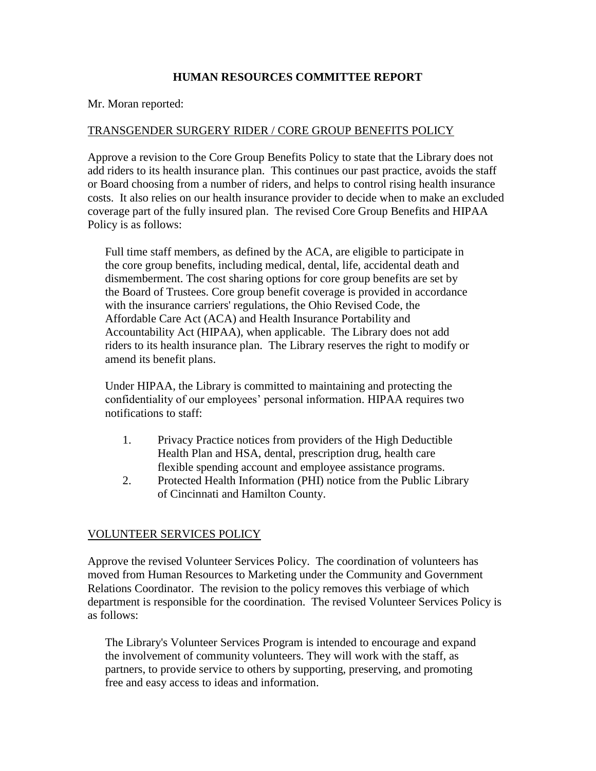## **HUMAN RESOURCES COMMITTEE REPORT**

Mr. Moran reported:

## TRANSGENDER SURGERY RIDER / CORE GROUP BENEFITS POLICY

Approve a revision to the Core Group Benefits Policy to state that the Library does not add riders to its health insurance plan. This continues our past practice, avoids the staff or Board choosing from a number of riders, and helps to control rising health insurance costs. It also relies on our health insurance provider to decide when to make an excluded coverage part of the fully insured plan. The revised Core Group Benefits and HIPAA Policy is as follows:

Full time staff members, as defined by the ACA, are eligible to participate in the core group benefits, including medical, dental, life, accidental death and dismemberment. The cost sharing options for core group benefits are set by the Board of Trustees. Core group benefit coverage is provided in accordance with the insurance carriers' regulations, the Ohio Revised Code, the Affordable Care Act (ACA) and Health Insurance Portability and Accountability Act (HIPAA), when applicable. The Library does not add riders to its health insurance plan. The Library reserves the right to modify or amend its benefit plans.

Under HIPAA, the Library is committed to maintaining and protecting the confidentiality of our employees' personal information. HIPAA requires two notifications to staff:

- 1. Privacy Practice notices from providers of the High Deductible Health Plan and HSA, dental, prescription drug, health care flexible spending account and employee assistance programs.
- 2. Protected Health Information (PHI) notice from the Public Library of Cincinnati and Hamilton County.

## VOLUNTEER SERVICES POLICY

Approve the revised Volunteer Services Policy. The coordination of volunteers has moved from Human Resources to Marketing under the Community and Government Relations Coordinator. The revision to the policy removes this verbiage of which department is responsible for the coordination. The revised Volunteer Services Policy is as follows:

The Library's Volunteer Services Program is intended to encourage and expand the involvement of community volunteers. They will work with the staff, as partners, to provide service to others by supporting, preserving, and promoting free and easy access to ideas and information.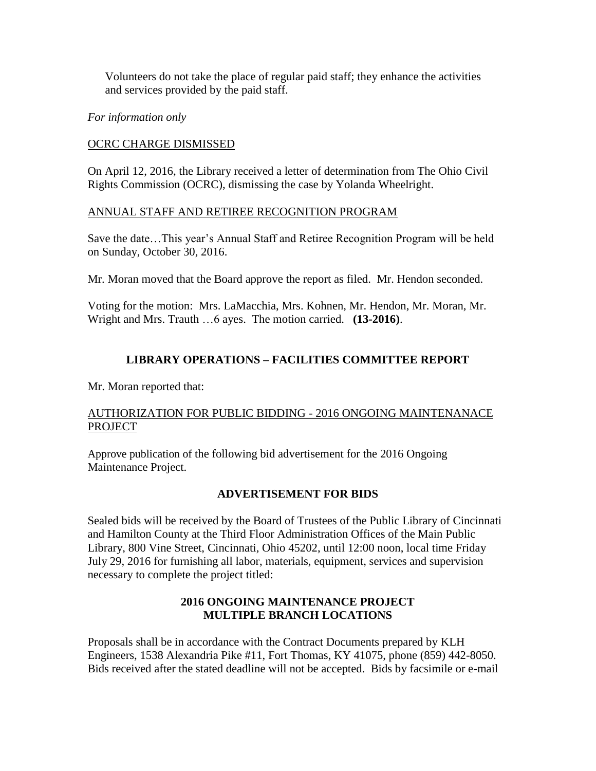Volunteers do not take the place of regular paid staff; they enhance the activities and services provided by the paid staff.

*For information only*

## OCRC CHARGE DISMISSED

On April 12, 2016, the Library received a letter of determination from The Ohio Civil Rights Commission (OCRC), dismissing the case by Yolanda Wheelright.

## ANNUAL STAFF AND RETIREE RECOGNITION PROGRAM

Save the date…This year's Annual Staff and Retiree Recognition Program will be held on Sunday, October 30, 2016.

Mr. Moran moved that the Board approve the report as filed. Mr. Hendon seconded.

Voting for the motion: Mrs. LaMacchia, Mrs. Kohnen, Mr. Hendon, Mr. Moran, Mr. Wright and Mrs. Trauth …6 ayes. The motion carried. **(13-2016)**.

## **LIBRARY OPERATIONS – FACILITIES COMMITTEE REPORT**

Mr. Moran reported that:

## AUTHORIZATION FOR PUBLIC BIDDING - 2016 ONGOING MAINTENANACE **PROJECT**

Approve publication of the following bid advertisement for the 2016 Ongoing Maintenance Project.

#### **ADVERTISEMENT FOR BIDS**

Sealed bids will be received by the Board of Trustees of the Public Library of Cincinnati and Hamilton County at the Third Floor Administration Offices of the Main Public Library, 800 Vine Street, Cincinnati, Ohio 45202, until 12:00 noon, local time Friday July 29, 2016 for furnishing all labor, materials, equipment, services and supervision necessary to complete the project titled:

## **2016 ONGOING MAINTENANCE PROJECT MULTIPLE BRANCH LOCATIONS**

Proposals shall be in accordance with the Contract Documents prepared by KLH Engineers, 1538 Alexandria Pike #11, Fort Thomas, KY 41075, phone (859) 442-8050. Bids received after the stated deadline will not be accepted. Bids by facsimile or e-mail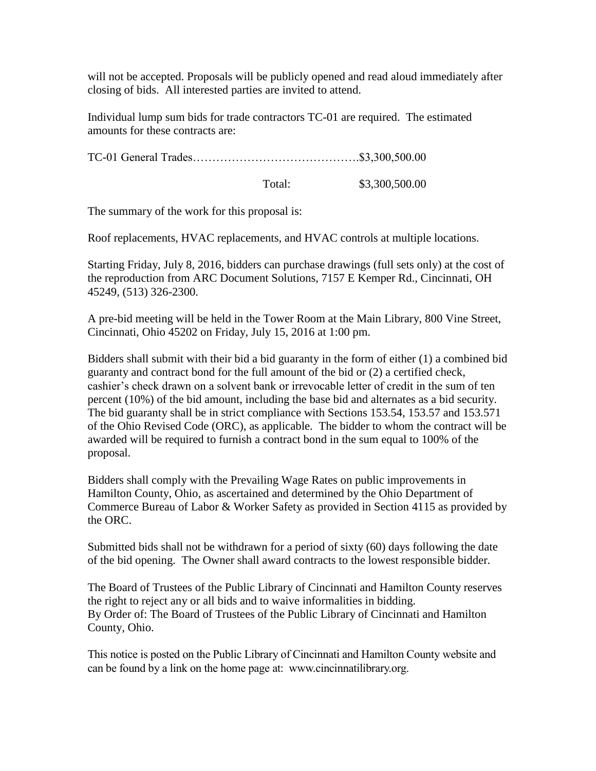will not be accepted. Proposals will be publicly opened and read aloud immediately after closing of bids. All interested parties are invited to attend.

Individual lump sum bids for trade contractors TC-01 are required. The estimated amounts for these contracts are:

TC-01 General Trades…………………………………….\$3,300,500.00

Total: \$3,300,500.00

The summary of the work for this proposal is:

Roof replacements, HVAC replacements, and HVAC controls at multiple locations.

Starting Friday, July 8, 2016, bidders can purchase drawings (full sets only) at the cost of the reproduction from ARC Document Solutions, 7157 E Kemper Rd., Cincinnati, OH 45249, (513) 326-2300.

A pre-bid meeting will be held in the Tower Room at the Main Library, 800 Vine Street, Cincinnati, Ohio 45202 on Friday, July 15, 2016 at 1:00 pm.

Bidders shall submit with their bid a bid guaranty in the form of either (1) a combined bid guaranty and contract bond for the full amount of the bid or (2) a certified check, cashier's check drawn on a solvent bank or irrevocable letter of credit in the sum of ten percent (10%) of the bid amount, including the base bid and alternates as a bid security. The bid guaranty shall be in strict compliance with Sections 153.54, 153.57 and 153.571 of the Ohio Revised Code (ORC), as applicable. The bidder to whom the contract will be awarded will be required to furnish a contract bond in the sum equal to 100% of the proposal.

Bidders shall comply with the Prevailing Wage Rates on public improvements in Hamilton County, Ohio, as ascertained and determined by the Ohio Department of Commerce Bureau of Labor & Worker Safety as provided in Section 4115 as provided by the ORC.

Submitted bids shall not be withdrawn for a period of sixty (60) days following the date of the bid opening. The Owner shall award contracts to the lowest responsible bidder.

The Board of Trustees of the Public Library of Cincinnati and Hamilton County reserves the right to reject any or all bids and to waive informalities in bidding. By Order of: The Board of Trustees of the Public Library of Cincinnati and Hamilton County, Ohio.

This notice is posted on the Public Library of Cincinnati and Hamilton County website and can be found by a link on the home page at: www.cincinnatilibrary.org.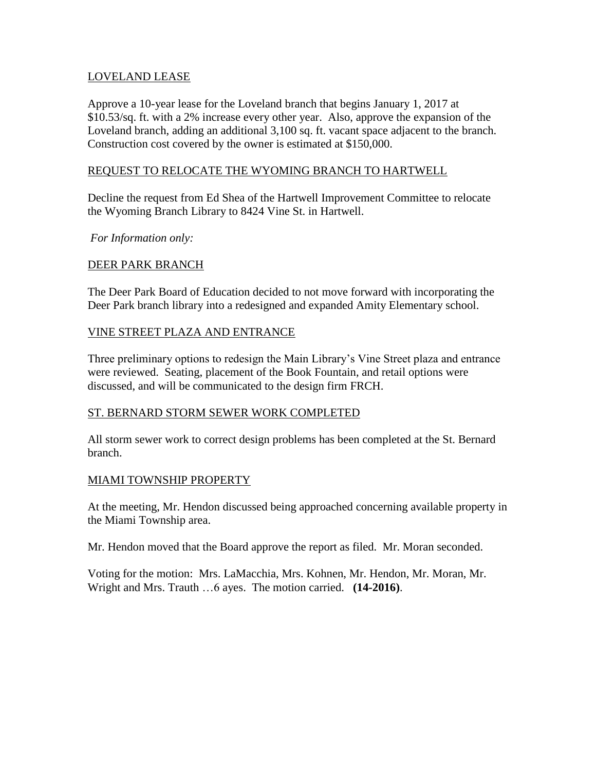#### LOVELAND LEASE

Approve a 10-year lease for the Loveland branch that begins January 1, 2017 at \$10.53/sq. ft. with a 2% increase every other year. Also, approve the expansion of the Loveland branch, adding an additional 3,100 sq. ft. vacant space adjacent to the branch. Construction cost covered by the owner is estimated at \$150,000.

## REQUEST TO RELOCATE THE WYOMING BRANCH TO HARTWELL

Decline the request from Ed Shea of the Hartwell Improvement Committee to relocate the Wyoming Branch Library to 8424 Vine St. in Hartwell.

*For Information only:*

## DEER PARK BRANCH

The Deer Park Board of Education decided to not move forward with incorporating the Deer Park branch library into a redesigned and expanded Amity Elementary school.

## VINE STREET PLAZA AND ENTRANCE

Three preliminary options to redesign the Main Library's Vine Street plaza and entrance were reviewed. Seating, placement of the Book Fountain, and retail options were discussed, and will be communicated to the design firm FRCH.

#### ST. BERNARD STORM SEWER WORK COMPLETED

All storm sewer work to correct design problems has been completed at the St. Bernard branch.

#### MIAMI TOWNSHIP PROPERTY

At the meeting, Mr. Hendon discussed being approached concerning available property in the Miami Township area.

Mr. Hendon moved that the Board approve the report as filed. Mr. Moran seconded.

Voting for the motion: Mrs. LaMacchia, Mrs. Kohnen, Mr. Hendon, Mr. Moran, Mr. Wright and Mrs. Trauth …6 ayes. The motion carried. **(14-2016)**.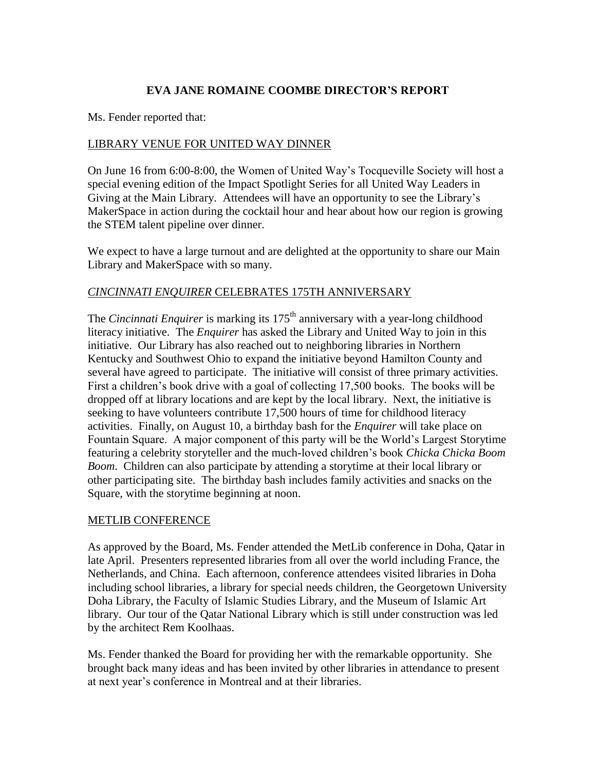## **EVA JANE ROMAINE COOMBE DIRECTOR'S REPORT**

Ms. Fender reported that:

## LIBRARY VENUE FOR UNITED WAY DINNER

On June 16 from 6:00-8:00, the Women of United Way's Tocqueville Society will host a special evening edition of the Impact Spotlight Series for all United Way Leaders in Giving at the Main Library. Attendees will have an opportunity to see the Library's MakerSpace in action during the cocktail hour and hear about how our region is growing the STEM talent pipeline over dinner.

We expect to have a large turnout and are delighted at the opportunity to share our Main Library and MakerSpace with so many.

## *CINCINNATI ENQUIRER* CELEBRATES 175TH ANNIVERSARY

The *Cincinnati Enquirer* is marking its 175<sup>th</sup> anniversary with a year-long childhood literacy initiative. The *Enquirer* has asked the Library and United Way to join in this initiative. Our Library has also reached out to neighboring libraries in Northern Kentucky and Southwest Ohio to expand the initiative beyond Hamilton County and several have agreed to participate. The initiative will consist of three primary activities. First a children's book drive with a goal of collecting 17,500 books. The books will be dropped off at library locations and are kept by the local library. Next, the initiative is seeking to have volunteers contribute 17,500 hours of time for childhood literacy activities. Finally, on August 10, a birthday bash for the *Enquirer* will take place on Fountain Square. A major component of this party will be the World's Largest Storytime featuring a celebrity storyteller and the much-loved children's book *Chicka Chicka Boom Boom*. Children can also participate by attending a storytime at their local library or other participating site. The birthday bash includes family activities and snacks on the Square, with the storytime beginning at noon.

#### METLIB CONFERENCE

As approved by the Board, Ms. Fender attended the MetLib conference in Doha, Qatar in late April. Presenters represented libraries from all over the world including France, the Netherlands, and China. Each afternoon, conference attendees visited libraries in Doha including school libraries, a library for special needs children, the Georgetown University Doha Library, the Faculty of Islamic Studies Library, and the Museum of Islamic Art library. Our tour of the Qatar National Library which is still under construction was led by the architect Rem Koolhaas.

Ms. Fender thanked the Board for providing her with the remarkable opportunity. She brought back many ideas and has been invited by other libraries in attendance to present at next year's conference in Montreal and at their libraries.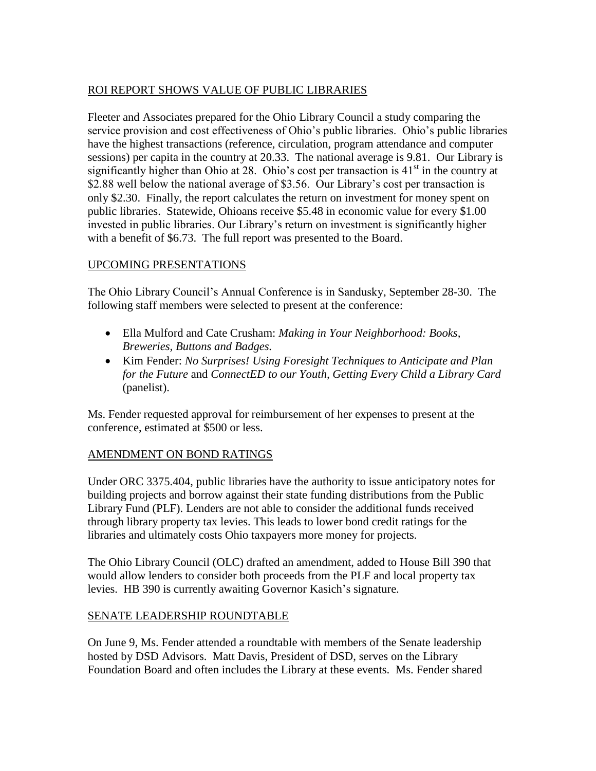# ROI REPORT SHOWS VALUE OF PUBLIC LIBRARIES

Fleeter and Associates prepared for the Ohio Library Council a study comparing the service provision and cost effectiveness of Ohio's public libraries. Ohio's public libraries have the highest transactions (reference, circulation, program attendance and computer sessions) per capita in the country at 20.33. The national average is 9.81. Our Library is significantly higher than Ohio at 28. Ohio's cost per transaction is  $41<sup>st</sup>$  in the country at \$2.88 well below the national average of \$3.56. Our Library's cost per transaction is only \$2.30. Finally, the report calculates the return on investment for money spent on public libraries. Statewide, Ohioans receive \$5.48 in economic value for every \$1.00 invested in public libraries. Our Library's return on investment is significantly higher with a benefit of \$6.73. The full report was presented to the Board.

## UPCOMING PRESENTATIONS

The Ohio Library Council's Annual Conference is in Sandusky, September 28-30. The following staff members were selected to present at the conference:

- Ella Mulford and Cate Crusham: *Making in Your Neighborhood: Books, Breweries, Buttons and Badges.*
- Kim Fender: *No Surprises! Using Foresight Techniques to Anticipate and Plan for the Future* and *ConnectED to our Youth, Getting Every Child a Library Card* (panelist).

Ms. Fender requested approval for reimbursement of her expenses to present at the conference, estimated at \$500 or less.

## AMENDMENT ON BOND RATINGS

Under ORC 3375.404, public libraries have the authority to issue anticipatory notes for building projects and borrow against their state funding distributions from the Public Library Fund (PLF). Lenders are not able to consider the additional funds received through library property tax levies. This leads to lower bond credit ratings for the libraries and ultimately costs Ohio taxpayers more money for projects.

The Ohio Library Council (OLC) drafted an amendment, added to House Bill 390 that would allow lenders to consider both proceeds from the PLF and local property tax levies. HB 390 is currently awaiting Governor Kasich's signature.

#### SENATE LEADERSHIP ROUNDTABLE

On June 9, Ms. Fender attended a roundtable with members of the Senate leadership hosted by DSD Advisors. Matt Davis, President of DSD, serves on the Library Foundation Board and often includes the Library at these events. Ms. Fender shared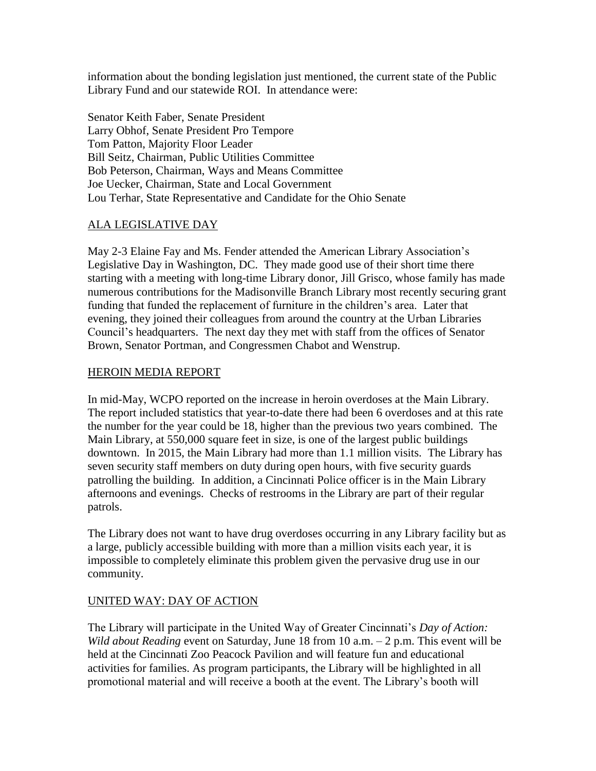information about the bonding legislation just mentioned, the current state of the Public Library Fund and our statewide ROI. In attendance were:

Senator Keith Faber, Senate President Larry Obhof, Senate President Pro Tempore Tom Patton, Majority Floor Leader Bill Seitz, Chairman, Public Utilities Committee Bob Peterson, Chairman, Ways and Means Committee Joe Uecker, Chairman, State and Local Government Lou Terhar, State Representative and Candidate for the Ohio Senate

## ALA LEGISLATIVE DAY

May 2-3 Elaine Fay and Ms. Fender attended the American Library Association's Legislative Day in Washington, DC. They made good use of their short time there starting with a meeting with long-time Library donor, Jill Grisco, whose family has made numerous contributions for the Madisonville Branch Library most recently securing grant funding that funded the replacement of furniture in the children's area. Later that evening, they joined their colleagues from around the country at the Urban Libraries Council's headquarters. The next day they met with staff from the offices of Senator Brown, Senator Portman, and Congressmen Chabot and Wenstrup.

## HEROIN MEDIA REPORT

In mid-May, WCPO reported on the increase in heroin overdoses at the Main Library. The report included statistics that year-to-date there had been 6 overdoses and at this rate the number for the year could be 18, higher than the previous two years combined. The Main Library, at 550,000 square feet in size, is one of the largest public buildings downtown. In 2015, the Main Library had more than 1.1 million visits. The Library has seven security staff members on duty during open hours, with five security guards patrolling the building. In addition, a Cincinnati Police officer is in the Main Library afternoons and evenings. Checks of restrooms in the Library are part of their regular patrols.

The Library does not want to have drug overdoses occurring in any Library facility but as a large, publicly accessible building with more than a million visits each year, it is impossible to completely eliminate this problem given the pervasive drug use in our community.

# UNITED WAY: DAY OF ACTION

The Library will participate in the United Way of Greater Cincinnati's *Day of Action: Wild about Reading* event on Saturday, June 18 from 10 a.m. – 2 p.m. This event will be held at the Cincinnati Zoo Peacock Pavilion and will feature fun and educational activities for families. As program participants, the Library will be highlighted in all promotional material and will receive a booth at the event. The Library's booth will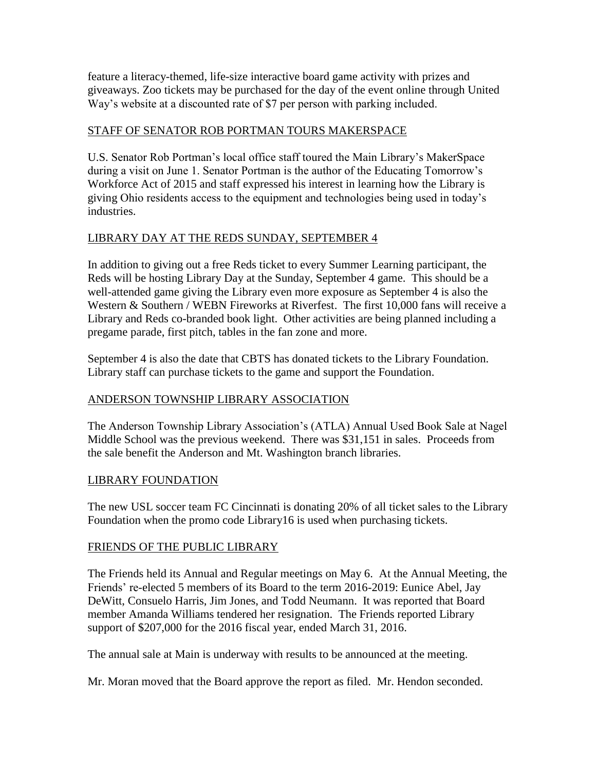feature a literacy-themed, life-size interactive board game activity with prizes and giveaways. Zoo tickets may be purchased for the day of the event online through United Way's website at a discounted rate of \$7 per person with parking included.

## STAFF OF SENATOR ROB PORTMAN TOURS MAKERSPACE

U.S. Senator Rob Portman's local office staff toured the Main Library's MakerSpace during a visit on June 1. Senator Portman is the author of the Educating Tomorrow's Workforce Act of 2015 and staff expressed his interest in learning how the Library is giving Ohio residents access to the equipment and technologies being used in today's industries.

## LIBRARY DAY AT THE REDS SUNDAY, SEPTEMBER 4

In addition to giving out a free Reds ticket to every Summer Learning participant, the Reds will be hosting Library Day at the Sunday, September 4 game. This should be a well-attended game giving the Library even more exposure as September 4 is also the Western & Southern / WEBN Fireworks at Riverfest. The first 10,000 fans will receive a Library and Reds co-branded book light. Other activities are being planned including a pregame parade, first pitch, tables in the fan zone and more.

September 4 is also the date that CBTS has donated tickets to the Library Foundation. Library staff can purchase tickets to the game and support the Foundation.

# ANDERSON TOWNSHIP LIBRARY ASSOCIATION

The Anderson Township Library Association's (ATLA) Annual Used Book Sale at Nagel Middle School was the previous weekend. There was \$31,151 in sales. Proceeds from the sale benefit the Anderson and Mt. Washington branch libraries.

## LIBRARY FOUNDATION

The new USL soccer team FC Cincinnati is donating 20% of all ticket sales to the Library Foundation when the promo code Library16 is used when purchasing tickets.

## FRIENDS OF THE PUBLIC LIBRARY

The Friends held its Annual and Regular meetings on May 6. At the Annual Meeting, the Friends' re-elected 5 members of its Board to the term 2016-2019: Eunice Abel, Jay DeWitt, Consuelo Harris, Jim Jones, and Todd Neumann. It was reported that Board member Amanda Williams tendered her resignation. The Friends reported Library support of \$207,000 for the 2016 fiscal year, ended March 31, 2016.

The annual sale at Main is underway with results to be announced at the meeting.

Mr. Moran moved that the Board approve the report as filed. Mr. Hendon seconded.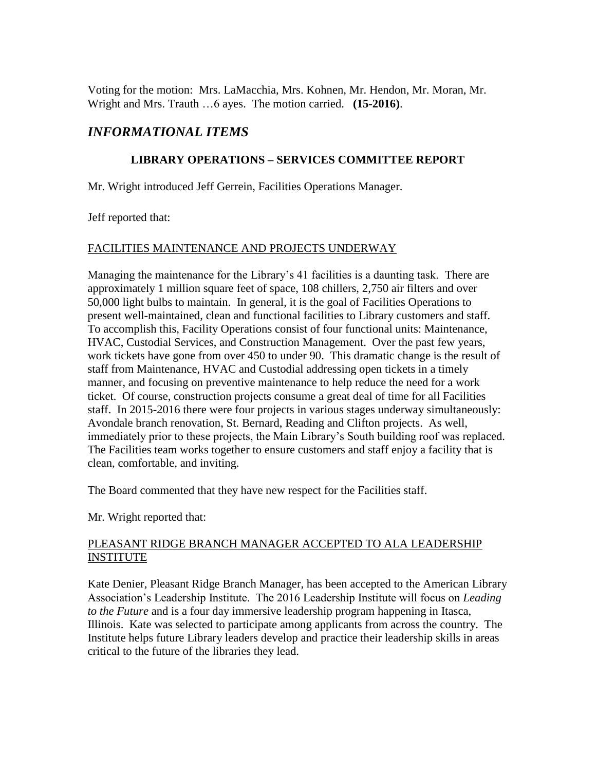Voting for the motion: Mrs. LaMacchia, Mrs. Kohnen, Mr. Hendon, Mr. Moran, Mr. Wright and Mrs. Trauth …6 ayes. The motion carried. **(15-2016)**.

# *INFORMATIONAL ITEMS*

## **LIBRARY OPERATIONS – SERVICES COMMITTEE REPORT**

Mr. Wright introduced Jeff Gerrein, Facilities Operations Manager.

Jeff reported that:

## FACILITIES MAINTENANCE AND PROJECTS UNDERWAY

Managing the maintenance for the Library's 41 facilities is a daunting task. There are approximately 1 million square feet of space, 108 chillers, 2,750 air filters and over 50,000 light bulbs to maintain. In general, it is the goal of Facilities Operations to present well-maintained, clean and functional facilities to Library customers and staff. To accomplish this, Facility Operations consist of four functional units: Maintenance, HVAC, Custodial Services, and Construction Management. Over the past few years, work tickets have gone from over 450 to under 90. This dramatic change is the result of staff from Maintenance, HVAC and Custodial addressing open tickets in a timely manner, and focusing on preventive maintenance to help reduce the need for a work ticket. Of course, construction projects consume a great deal of time for all Facilities staff. In 2015-2016 there were four projects in various stages underway simultaneously: Avondale branch renovation, St. Bernard, Reading and Clifton projects. As well, immediately prior to these projects, the Main Library's South building roof was replaced. The Facilities team works together to ensure customers and staff enjoy a facility that is clean, comfortable, and inviting.

The Board commented that they have new respect for the Facilities staff.

Mr. Wright reported that:

## PLEASANT RIDGE BRANCH MANAGER ACCEPTED TO ALA LEADERSHIP INSTITUTE

Kate Denier, Pleasant Ridge Branch Manager, has been accepted to the American Library Association's Leadership Institute. The 2016 Leadership Institute will focus on *Leading to the Future* and is a four day immersive leadership program happening in Itasca, Illinois. Kate was selected to participate among applicants from across the country. The Institute helps future Library leaders develop and practice their leadership skills in areas critical to the future of the libraries they lead.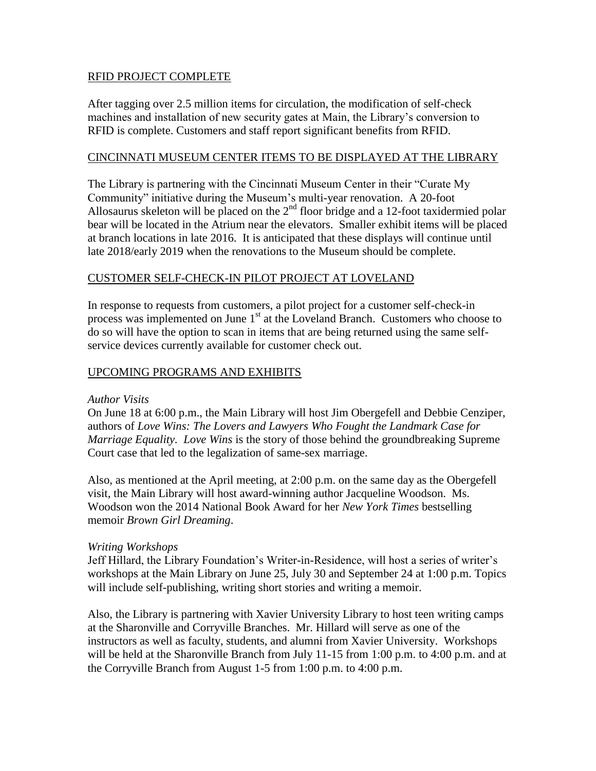## RFID PROJECT COMPLETE

After tagging over 2.5 million items for circulation, the modification of self-check machines and installation of new security gates at Main, the Library's conversion to RFID is complete. Customers and staff report significant benefits from RFID.

#### CINCINNATI MUSEUM CENTER ITEMS TO BE DISPLAYED AT THE LIBRARY

The Library is partnering with the Cincinnati Museum Center in their "Curate My Community" initiative during the Museum's multi-year renovation. A 20-foot Allosaurus skeleton will be placed on the  $2<sup>nd</sup>$  floor bridge and a 12-foot taxidermied polar bear will be located in the Atrium near the elevators. Smaller exhibit items will be placed at branch locations in late 2016. It is anticipated that these displays will continue until late 2018/early 2019 when the renovations to the Museum should be complete.

## CUSTOMER SELF-CHECK-IN PILOT PROJECT AT LOVELAND

In response to requests from customers, a pilot project for a customer self-check-in process was implemented on June 1<sup>st</sup> at the Loveland Branch. Customers who choose to do so will have the option to scan in items that are being returned using the same selfservice devices currently available for customer check out.

## UPCOMING PROGRAMS AND EXHIBITS

#### *Author Visits*

On June 18 at 6:00 p.m., the Main Library will host Jim Obergefell and Debbie Cenziper, authors of *Love Wins: The Lovers and Lawyers Who Fought the Landmark Case for Marriage Equality. Love Wins* is the story of those behind the groundbreaking Supreme Court case that led to the legalization of same-sex marriage.

Also, as mentioned at the April meeting, at 2:00 p.m. on the same day as the Obergefell visit, the Main Library will host award-winning author Jacqueline Woodson. Ms. Woodson won the 2014 National Book Award for her *New York Times* bestselling memoir *Brown Girl Dreaming*.

#### *Writing Workshops*

Jeff Hillard, the Library Foundation's Writer-in-Residence, will host a series of writer's workshops at the Main Library on June 25, July 30 and September 24 at 1:00 p.m. Topics will include self-publishing, writing short stories and writing a memoir.

Also, the Library is partnering with Xavier University Library to host teen writing camps at the Sharonville and Corryville Branches. Mr. Hillard will serve as one of the instructors as well as faculty, students, and alumni from Xavier University. Workshops will be held at the Sharonville Branch from July 11-15 from 1:00 p.m. to 4:00 p.m. and at the Corryville Branch from August 1-5 from 1:00 p.m. to 4:00 p.m.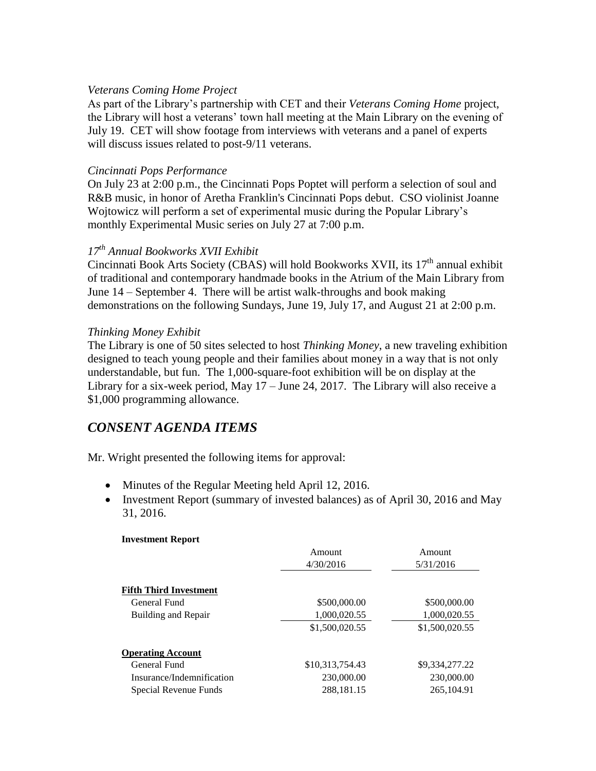#### *Veterans Coming Home Project*

As part of the Library's partnership with CET and their *Veterans Coming Home* project, the Library will host a veterans' town hall meeting at the Main Library on the evening of July 19. CET will show footage from interviews with veterans and a panel of experts will discuss issues related to post-9/11 veterans.

#### *Cincinnati Pops Performance*

On July 23 at 2:00 p.m., the Cincinnati Pops Poptet will perform a selection of soul and R&B music, in honor of Aretha Franklin's Cincinnati Pops debut. CSO violinist Joanne Wojtowicz will perform a set of experimental music during the Popular Library's monthly Experimental Music series on July 27 at 7:00 p.m.

#### *17th Annual Bookworks XVII Exhibit*

Cincinnati Book Arts Society (CBAS) will hold Bookworks XVII, its  $17<sup>th</sup>$  annual exhibit of traditional and contemporary handmade books in the Atrium of the Main Library from June 14 – September 4. There will be artist walk-throughs and book making demonstrations on the following Sundays, June 19, July 17, and August 21 at 2:00 p.m.

#### *Thinking Money Exhibit*

The Library is one of 50 sites selected to host *Thinking Money*, a new traveling exhibition designed to teach young people and their families about money in a way that is not only understandable, but fun. The 1,000-square-foot exhibition will be on display at the Library for a six-week period, May 17 – June 24, 2017. The Library will also receive a \$1,000 programming allowance.

# *CONSENT AGENDA ITEMS*

Mr. Wright presented the following items for approval:

- Minutes of the Regular Meeting held April 12, 2016.
- Investment Report (summary of invested balances) as of April 30, 2016 and May 31, 2016.

#### **Investment Report**

|                               | Amount          | Amount         |
|-------------------------------|-----------------|----------------|
|                               | 4/30/2016       | 5/31/2016      |
|                               |                 |                |
| <b>Fifth Third Investment</b> |                 |                |
| General Fund                  | \$500,000.00    | \$500,000.00   |
| Building and Repair           | 1,000,020.55    | 1,000,020.55   |
|                               | \$1,500,020.55  | \$1,500,020.55 |
| <b>Operating Account</b>      |                 |                |
| General Fund                  | \$10,313,754.43 | \$9,334,277.22 |
| Insurance/Indemnification     | 230,000.00      | 230,000.00     |
| Special Revenue Funds         | 288,181.15      | 265, 104.91    |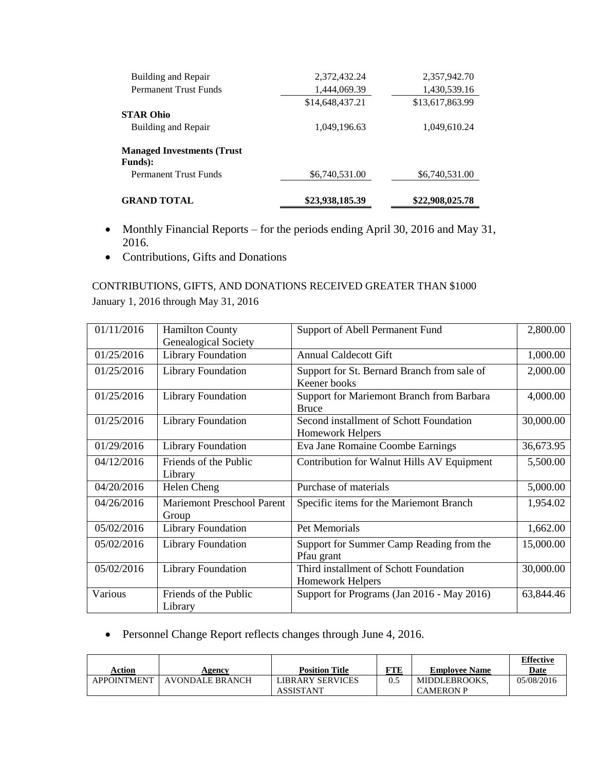| <b>GRAND TOTAL</b>                                    | \$23,938,185.39 | \$22,908,025.78 |
|-------------------------------------------------------|-----------------|-----------------|
| <b>Permanent Trust Funds</b>                          | \$6,740,531.00  | \$6,740,531.00  |
| <b>Managed Investments (Trust)</b><br><b>Funds</b> ): |                 |                 |
| Building and Repair                                   | 1,049,196.63    | 1,049,610.24    |
| STAR Ohio                                             | \$14,648,437.21 | \$13,617,863.99 |
| <b>Permanent Trust Funds</b>                          | 1,444,069.39    | 1,430,539.16    |
| Building and Repair                                   | 2,372,432.24    | 2,357,942.70    |

- Monthly Financial Reports for the periods ending April 30, 2016 and May 31, 2016.
- Contributions, Gifts and Donations

# CONTRIBUTIONS, GIFTS, AND DONATIONS RECEIVED GREATER THAN \$1000 January 1, 2016 through May 31, 2016

| 01/11/2016 | <b>Hamilton County</b>            | Support of Abell Permanent Fund             | 2,800.00  |
|------------|-----------------------------------|---------------------------------------------|-----------|
|            | <b>Genealogical Society</b>       |                                             |           |
| 01/25/2016 | <b>Library Foundation</b>         | <b>Annual Caldecott Gift</b>                | 1,000.00  |
| 01/25/2016 | <b>Library Foundation</b>         | Support for St. Bernard Branch from sale of | 2,000.00  |
|            |                                   | Keener books                                |           |
| 01/25/2016 | <b>Library Foundation</b>         | Support for Mariemont Branch from Barbara   | 4,000.00  |
|            |                                   | <b>Bruce</b>                                |           |
| 01/25/2016 | <b>Library Foundation</b>         | Second installment of Schott Foundation     | 30,000.00 |
|            |                                   | Homework Helpers                            |           |
| 01/29/2016 | <b>Library Foundation</b>         | Eva Jane Romaine Coombe Earnings            | 36,673.95 |
| 04/12/2016 | Friends of the Public             | Contribution for Walnut Hills AV Equipment  | 5,500.00  |
|            | Library                           |                                             |           |
| 04/20/2016 | Helen Cheng                       | Purchase of materials                       | 5,000.00  |
| 04/26/2016 | <b>Mariemont Preschool Parent</b> | Specific items for the Mariemont Branch     | 1,954.02  |
|            | Group                             |                                             |           |
| 05/02/2016 | <b>Library Foundation</b>         | <b>Pet Memorials</b>                        | 1,662.00  |
| 05/02/2016 | <b>Library Foundation</b>         | Support for Summer Camp Reading from the    | 15,000.00 |
|            |                                   | Pfau grant                                  |           |
| 05/02/2016 | <b>Library Foundation</b>         | Third installment of Schott Foundation      | 30,000.00 |
|            |                                   | Homework Helpers                            |           |
| Various    | Friends of the Public             | Support for Programs (Jan 2016 - May 2016)  | 63,844.46 |
|            | Library                           |                                             |           |

Personnel Change Report reflects changes through June 4, 2016.

| Action             | Agency          | <b>Position Title</b>                | TTE. | <b>Employee Name</b>              | <b>Effective</b><br>Date |
|--------------------|-----------------|--------------------------------------|------|-----------------------------------|--------------------------|
| <b>APPOINTMENT</b> | AVONDALE BRANCH | LIBRARY SERVICES<br><b>ASSISTANT</b> |      | MIDDLEBROOKS.<br><b>CAMERON P</b> | 05/08/2016               |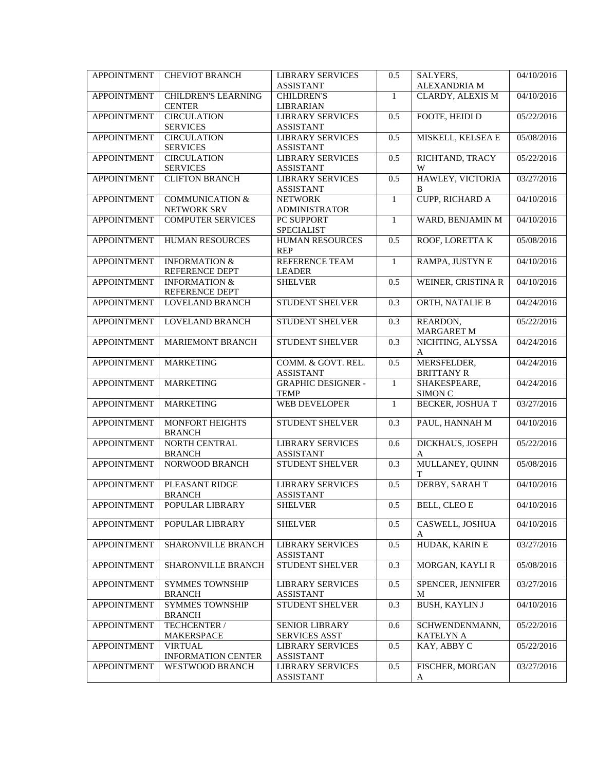| <b>APPOINTMENT</b> | <b>CHEVIOT BRANCH</b>                   | <b>LIBRARY SERVICES</b><br><b>ASSISTANT</b> | 0.5              | SALYERS,<br><b>ALEXANDRIA M</b> | 04/10/2016 |
|--------------------|-----------------------------------------|---------------------------------------------|------------------|---------------------------------|------------|
| <b>APPOINTMENT</b> | <b>CHILDREN'S LEARNING</b>              | <b>CHILDREN'S</b>                           | $\mathbf{1}$     | CLARDY, ALEXIS M                | 04/10/2016 |
|                    | <b>CENTER</b>                           | <b>LIBRARIAN</b>                            |                  |                                 |            |
| <b>APPOINTMENT</b> | <b>CIRCULATION</b>                      | <b>LIBRARY SERVICES</b>                     | 0.5              | FOOTE, HEIDI D                  | 05/22/2016 |
|                    | <b>SERVICES</b>                         | <b>ASSISTANT</b>                            |                  |                                 |            |
| <b>APPOINTMENT</b> | <b>CIRCULATION</b>                      | <b>LIBRARY SERVICES</b>                     | 0.5              | MISKELL, KELSEA E               | 05/08/2016 |
|                    | <b>SERVICES</b>                         | <b>ASSISTANT</b>                            |                  |                                 |            |
| <b>APPOINTMENT</b> | <b>CIRCULATION</b>                      | <b>LIBRARY SERVICES</b>                     | 0.5              | RICHTAND, TRACY                 | 05/22/2016 |
|                    | <b>SERVICES</b>                         | <b>ASSISTANT</b>                            |                  | W                               |            |
| <b>APPOINTMENT</b> | <b>CLIFTON BRANCH</b>                   | <b>LIBRARY SERVICES</b><br><b>ASSISTANT</b> | 0.5              | HAWLEY, VICTORIA<br>B           | 03/27/2016 |
| <b>APPOINTMENT</b> | <b>COMMUNICATION &amp;</b>              | <b>NETWORK</b>                              | $\mathbf{1}$     | <b>CUPP, RICHARD A</b>          | 04/10/2016 |
|                    | NETWORK SRV                             | <b>ADMINISTRATOR</b>                        |                  |                                 |            |
| <b>APPOINTMENT</b> | <b>COMPUTER SERVICES</b>                | PC SUPPORT                                  | $\mathbf{1}$     | WARD, BENJAMIN M                | 04/10/2016 |
|                    |                                         | <b>SPECIALIST</b>                           |                  |                                 |            |
| <b>APPOINTMENT</b> | <b>HUMAN RESOURCES</b>                  | HUMAN RESOURCES                             | 0.5              | ROOF, LORETTAK                  | 05/08/2016 |
|                    |                                         | <b>REP</b>                                  |                  |                                 |            |
| <b>APPOINTMENT</b> | <b>INFORMATION &amp;</b>                | REFERENCE TEAM                              | $\mathbf{1}$     | RAMPA, JUSTYN E                 | 04/10/2016 |
|                    | REFERENCE DEPT                          | <b>LEADER</b>                               |                  |                                 |            |
| <b>APPOINTMENT</b> | <b>INFORMATION &amp;</b>                | <b>SHELVER</b>                              | 0.5              | WEINER, CRISTINA R              | 04/10/2016 |
|                    | REFERENCE DEPT                          |                                             |                  |                                 |            |
| <b>APPOINTMENT</b> | LOVELAND BRANCH                         | <b>STUDENT SHELVER</b>                      | $\overline{0.3}$ | ORTH, NATALIE B                 | 04/24/2016 |
| <b>APPOINTMENT</b> | <b>LOVELAND BRANCH</b>                  | STUDENT SHELVER                             | 0.3              | REARDON,                        | 05/22/2016 |
|                    |                                         |                                             |                  | <b>MARGARET M</b>               |            |
| <b>APPOINTMENT</b> | MARIEMONT BRANCH                        | <b>STUDENT SHELVER</b>                      | $\overline{0.3}$ | NICHTING, ALYSSA                | 04/24/2016 |
|                    |                                         |                                             |                  | A                               |            |
| <b>APPOINTMENT</b> | <b>MARKETING</b>                        | COMM. & GOVT. REL.                          | 0.5              | MERSFELDER,                     | 04/24/2016 |
|                    |                                         | <b>ASSISTANT</b>                            |                  | <b>BRITTANY R</b>               |            |
| <b>APPOINTMENT</b> | <b>MARKETING</b>                        | <b>GRAPHIC DESIGNER -</b>                   | $\mathbf{1}$     | SHAKESPEARE,                    | 04/24/2016 |
|                    |                                         | <b>TEMP</b>                                 |                  | SIMON C                         |            |
| <b>APPOINTMENT</b> | <b>MARKETING</b>                        | WEB DEVELOPER                               | $\mathbf{1}$     | <b>BECKER, JOSHUA T</b>         | 03/27/2016 |
|                    |                                         |                                             |                  |                                 |            |
| <b>APPOINTMENT</b> | MONFORT HEIGHTS                         | <b>STUDENT SHELVER</b>                      | 0.3              | PAUL, HANNAH M                  | 04/10/2016 |
|                    | <b>BRANCH</b>                           |                                             |                  |                                 |            |
| <b>APPOINTMENT</b> | NORTH CENTRAL                           | <b>LIBRARY SERVICES</b>                     | 0.6              | DICKHAUS, JOSEPH<br>A           | 05/22/2016 |
| <b>APPOINTMENT</b> | <b>BRANCH</b><br><b>NORWOOD BRANCH</b>  | <b>ASSISTANT</b><br><b>STUDENT SHELVER</b>  | $\overline{0.3}$ | MULLANEY, QUINN                 | 05/08/2016 |
|                    |                                         |                                             |                  | T                               |            |
| <b>APPOINTMENT</b> | PLEASANT RIDGE                          | <b>LIBRARY SERVICES</b>                     | 0.5              | DERBY, SARAH T                  | 04/10/2016 |
|                    | <b>BRANCH</b>                           | <b>ASSISTANT</b>                            |                  |                                 |            |
| <b>APPOINTMENT</b> | POPULAR LIBRARY                         | <b>SHELVER</b>                              | 0.5              | BELL, CLEO E                    | 04/10/2016 |
|                    |                                         |                                             |                  |                                 |            |
| <b>APPOINTMENT</b> | POPULAR LIBRARY                         | <b>SHELVER</b>                              | 0.5              | CASWELL, JOSHUA                 | 04/10/2016 |
|                    |                                         |                                             |                  | A                               |            |
| <b>APPOINTMENT</b> | SHARONVILLE BRANCH                      | <b>LIBRARY SERVICES</b>                     | 0.5              | HUDAK, KARIN E                  | 03/27/2016 |
|                    |                                         | <b>ASSISTANT</b>                            |                  |                                 |            |
| <b>APPOINTMENT</b> | SHARONVILLE BRANCH                      | STUDENT SHELVER                             | 0.3              | MORGAN, KAYLI R                 | 05/08/2016 |
|                    |                                         |                                             |                  |                                 |            |
| <b>APPOINTMENT</b> | <b>SYMMES TOWNSHIP</b>                  | <b>LIBRARY SERVICES</b>                     | 0.5              | SPENCER, JENNIFER               | 03/27/2016 |
|                    | <b>BRANCH</b>                           | <b>ASSISTANT</b>                            |                  | M                               |            |
| <b>APPOINTMENT</b> | <b>SYMMES TOWNSHIP</b><br><b>BRANCH</b> | STUDENT SHELVER                             | 0.3              | <b>BUSH, KAYLIN J</b>           | 04/10/2016 |
| <b>APPOINTMENT</b> |                                         | SENIOR LIBRARY                              |                  | SCHWENDENMANN,                  | 05/22/2016 |
|                    | TECHCENTER /<br><b>MAKERSPACE</b>       | <b>SERVICES ASST</b>                        | 0.6              | <b>KATELYN A</b>                |            |
| <b>APPOINTMENT</b> | <b>VIRTUAL</b>                          | <b>LIBRARY SERVICES</b>                     | 0.5              | KAY, ABBY C                     | 05/22/2016 |
|                    | <b>INFORMATION CENTER</b>               | <b>ASSISTANT</b>                            |                  |                                 |            |
| <b>APPOINTMENT</b> | WESTWOOD BRANCH                         | <b>LIBRARY SERVICES</b>                     | 0.5              | FISCHER, MORGAN                 | 03/27/2016 |
|                    |                                         | <b>ASSISTANT</b>                            |                  | A                               |            |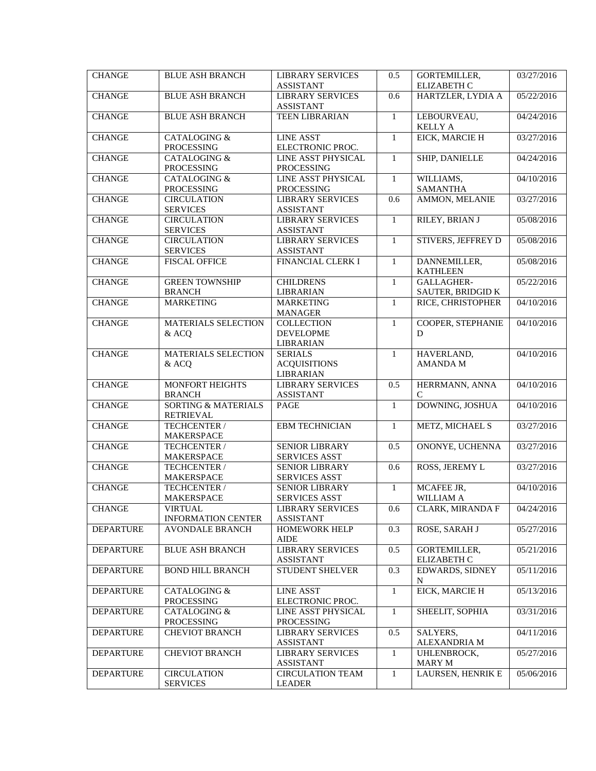| <b>CHANGE</b>    | <b>BLUE ASH BRANCH</b>                             | <b>LIBRARY SERVICES</b><br><b>ASSISTANT</b>               | 0.5              | GORTEMILLER,<br><b>ELIZABETH C</b> | 03/27/2016 |
|------------------|----------------------------------------------------|-----------------------------------------------------------|------------------|------------------------------------|------------|
| <b>CHANGE</b>    | <b>BLUE ASH BRANCH</b>                             | <b>LIBRARY SERVICES</b><br><b>ASSISTANT</b>               | 0.6              | HARTZLER, LYDIA A                  | 05/22/2016 |
| <b>CHANGE</b>    | <b>BLUE ASH BRANCH</b>                             | <b>TEEN LIBRARIAN</b>                                     | $\mathbf{1}$     | LEBOURVEAU,<br><b>KELLY A</b>      | 04/24/2016 |
| <b>CHANGE</b>    | <b>CATALOGING &amp;</b><br>PROCESSING              | <b>LINE ASST</b><br>ELECTRONIC PROC.                      | $\mathbf{1}$     | EICK, MARCIE H                     | 03/27/2016 |
| <b>CHANGE</b>    | CATALOGING &<br>PROCESSING                         | LINE ASST PHYSICAL<br>PROCESSING                          | 1                | SHIP, DANIELLE                     | 04/24/2016 |
| <b>CHANGE</b>    | <b>CATALOGING &amp;</b><br>PROCESSING              | LINE ASST PHYSICAL<br><b>PROCESSING</b>                   | $\mathbf{1}$     | WILLIAMS,<br><b>SAMANTHA</b>       | 04/10/2016 |
| <b>CHANGE</b>    | <b>CIRCULATION</b><br><b>SERVICES</b>              | <b>LIBRARY SERVICES</b><br><b>ASSISTANT</b>               | 0.6              | AMMON, MELANIE                     | 03/27/2016 |
| <b>CHANGE</b>    | <b>CIRCULATION</b><br><b>SERVICES</b>              | <b>LIBRARY SERVICES</b><br><b>ASSISTANT</b>               | $\mathbf{1}$     | RILEY, BRIAN J                     | 05/08/2016 |
| <b>CHANGE</b>    | <b>CIRCULATION</b><br><b>SERVICES</b>              | <b>LIBRARY SERVICES</b><br><b>ASSISTANT</b>               | 1                | <b>STIVERS, JEFFREY D</b>          | 05/08/2016 |
| <b>CHANGE</b>    | <b>FISCAL OFFICE</b>                               | FINANCIAL CLERK I                                         | $\mathbf{1}$     | DANNEMILLER,<br><b>KATHLEEN</b>    | 05/08/2016 |
| <b>CHANGE</b>    | <b>GREEN TOWNSHIP</b><br><b>BRANCH</b>             | <b>CHILDRENS</b><br>LIBRARIAN                             | $\mathbf{1}$     | GALLAGHER-<br>SAUTER, BRIDGID K    | 05/22/2016 |
| <b>CHANGE</b>    | <b>MARKETING</b>                                   | <b>MARKETING</b><br><b>MANAGER</b>                        | $\mathbf{1}$     | RICE, CHRISTOPHER                  | 04/10/2016 |
| <b>CHANGE</b>    | <b>MATERIALS SELECTION</b><br>& ACQ                | <b>COLLECTION</b><br><b>DEVELOPME</b><br><b>LIBRARIAN</b> | $\mathbf{1}$     | COOPER, STEPHANIE<br>D             | 04/10/2016 |
| <b>CHANGE</b>    | MATERIALS SELECTION<br>& ACQ                       | <b>SERIALS</b><br><b>ACQUISITIONS</b><br>LIBRARIAN        | $\mathbf{1}$     | HAVERLAND,<br><b>AMANDA M</b>      | 04/10/2016 |
| <b>CHANGE</b>    | MONFORT HEIGHTS<br><b>BRANCH</b>                   | <b>LIBRARY SERVICES</b><br><b>ASSISTANT</b>               | 0.5              | HERRMANN, ANNA<br>C                | 04/10/2016 |
| <b>CHANGE</b>    | <b>SORTING &amp; MATERIALS</b><br><b>RETRIEVAL</b> | PAGE                                                      | $\mathbf{1}$     | DOWNING, JOSHUA                    | 04/10/2016 |
| <b>CHANGE</b>    | TECHCENTER /<br>MAKERSPACE                         | <b>EBM TECHNICIAN</b>                                     | $\mathbf{1}$     | METZ, MICHAEL S                    | 03/27/2016 |
| <b>CHANGE</b>    | TECHCENTER /<br>MAKERSPACE                         | <b>SENIOR LIBRARY</b><br>SERVICES ASST                    | 0.5              | ONONYE, UCHENNA                    | 03/27/2016 |
| <b>CHANGE</b>    | TECHCENTER /<br>MAKERSPACE                         | <b>SENIOR LIBRARY</b><br><b>SERVICES ASST</b>             | 0.6              | ROSS, JEREMY L                     | 03/27/2016 |
| <b>CHANGE</b>    | TECHCENTER /<br><b>MAKERSPACE</b>                  | <b>SENIOR LIBRARY</b><br><b>SERVICES ASST</b>             | $\mathbf{1}$     | MCAFEE JR,<br><b>WILLIAM A</b>     | 04/10/2016 |
| <b>CHANGE</b>    | VIRTUAL<br><b>INFORMATION CENTER</b>               | LIBRARY SERVICES<br><b>ASSISTANT</b>                      | 0.6              | <b>CLARK, MIRANDA F</b>            | 04/24/2016 |
| <b>DEPARTURE</b> | <b>AVONDALE BRANCH</b>                             | <b>HOMEWORK HELP</b><br><b>AIDE</b>                       | $\overline{0.3}$ | ROSE, SARAH J                      | 05/27/2016 |
| <b>DEPARTURE</b> | <b>BLUE ASH BRANCH</b>                             | <b>LIBRARY SERVICES</b><br><b>ASSISTANT</b>               | 0.5              | GORTEMILLER,<br>ELIZABETH C        | 05/21/2016 |
| <b>DEPARTURE</b> | <b>BOND HILL BRANCH</b>                            | STUDENT SHELVER                                           | 0.3              | EDWARDS, SIDNEY<br>N               | 05/11/2016 |
| <b>DEPARTURE</b> | CATALOGING &<br>PROCESSING                         | <b>LINE ASST</b><br>ELECTRONIC PROC.                      | 1                | EICK, MARCIE H                     | 05/13/2016 |
| <b>DEPARTURE</b> | <b>CATALOGING &amp;</b><br>PROCESSING              | LINE ASST PHYSICAL<br>PROCESSING                          | $\mathbf{1}$     | SHEELIT, SOPHIA                    | 03/31/2016 |
| <b>DEPARTURE</b> | <b>CHEVIOT BRANCH</b>                              | <b>LIBRARY SERVICES</b><br><b>ASSISTANT</b>               | 0.5              | SALYERS,<br>ALEXANDRIA M           | 04/11/2016 |
| <b>DEPARTURE</b> | <b>CHEVIOT BRANCH</b>                              | <b>LIBRARY SERVICES</b><br><b>ASSISTANT</b>               | $\mathbf{1}$     | UHLENBROCK,<br><b>MARY M</b>       | 05/27/2016 |
| <b>DEPARTURE</b> | <b>CIRCULATION</b><br><b>SERVICES</b>              | <b>CIRCULATION TEAM</b><br><b>LEADER</b>                  | $\mathbf{1}$     | LAURSEN, HENRIK E                  | 05/06/2016 |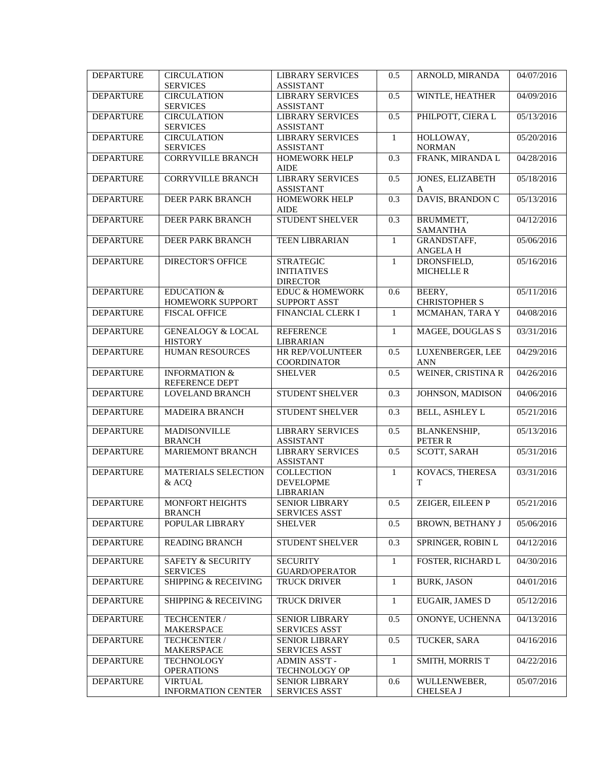| <b>DEPARTURE</b> | <b>CIRCULATION</b><br><b>SERVICES</b>           | <b>LIBRARY SERVICES</b><br><b>ASSISTANT</b>               | 0.5              | ARNOLD, MIRANDA                  | 04/07/2016 |
|------------------|-------------------------------------------------|-----------------------------------------------------------|------------------|----------------------------------|------------|
| <b>DEPARTURE</b> | <b>CIRCULATION</b><br><b>SERVICES</b>           | <b>LIBRARY SERVICES</b><br><b>ASSISTANT</b>               | 0.5              | WINTLE, HEATHER                  | 04/09/2016 |
| <b>DEPARTURE</b> | <b>CIRCULATION</b><br><b>SERVICES</b>           | <b>LIBRARY SERVICES</b><br><b>ASSISTANT</b>               | 0.5              | PHILPOTT, CIERA L                | 05/13/2016 |
| <b>DEPARTURE</b> | <b>CIRCULATION</b><br><b>SERVICES</b>           | <b>LIBRARY SERVICES</b><br><b>ASSISTANT</b>               | $\mathbf{1}$     | HOLLOWAY,<br><b>NORMAN</b>       | 05/20/2016 |
| <b>DEPARTURE</b> | <b>CORRYVILLE BRANCH</b>                        | <b>HOMEWORK HELP</b><br><b>AIDE</b>                       | 0.3              | FRANK, MIRANDA L                 | 04/28/2016 |
| <b>DEPARTURE</b> | <b>CORRYVILLE BRANCH</b>                        | <b>LIBRARY SERVICES</b><br><b>ASSISTANT</b>               | 0.5              | JONES, ELIZABETH<br>A            | 05/18/2016 |
| <b>DEPARTURE</b> | DEER PARK BRANCH                                | <b>HOMEWORK HELP</b><br><b>AIDE</b>                       | 0.3              | DAVIS, BRANDON C                 | 05/13/2016 |
| <b>DEPARTURE</b> | <b>DEER PARK BRANCH</b>                         | STUDENT SHELVER                                           | $\overline{0.3}$ | BRUMMETT,<br><b>SAMANTHA</b>     | 04/12/2016 |
| <b>DEPARTURE</b> | <b>DEER PARK BRANCH</b>                         | <b>TEEN LIBRARIAN</b>                                     | $\mathbf{1}$     | GRANDSTAFF,<br><b>ANGELAH</b>    | 05/06/2016 |
| <b>DEPARTURE</b> | <b>DIRECTOR'S OFFICE</b>                        | <b>STRATEGIC</b><br><b>INITIATIVES</b><br><b>DIRECTOR</b> | $\mathbf{1}$     | DRONSFIELD,<br><b>MICHELLE R</b> | 05/16/2016 |
| <b>DEPARTURE</b> | <b>EDUCATION &amp;</b><br>HOMEWORK SUPPORT      | <b>EDUC &amp; HOMEWORK</b><br><b>SUPPORT ASST</b>         | 0.6              | BEERY,<br><b>CHRISTOPHER S</b>   | 05/11/2016 |
| <b>DEPARTURE</b> | <b>FISCAL OFFICE</b>                            | FINANCIAL CLERK I                                         | $\mathbf{1}$     | MCMAHAN, TARA Y                  | 04/08/2016 |
| <b>DEPARTURE</b> | <b>GENEALOGY &amp; LOCAL</b><br><b>HISTORY</b>  | <b>REFERENCE</b><br><b>LIBRARIAN</b>                      | $\mathbf{1}$     | <b>MAGEE, DOUGLAS S</b>          | 03/31/2016 |
| <b>DEPARTURE</b> | <b>HUMAN RESOURCES</b>                          | HR REP/VOLUNTEER<br><b>COORDINATOR</b>                    | 0.5              | LUXENBERGER, LEE<br><b>ANN</b>   | 04/29/2016 |
| <b>DEPARTURE</b> | <b>INFORMATION &amp;</b><br>REFERENCE DEPT      | <b>SHELVER</b>                                            | 0.5              | WEINER, CRISTINA R               | 04/26/2016 |
| <b>DEPARTURE</b> | LOVELAND BRANCH                                 | STUDENT SHELVER                                           | 0.3              | JOHNSON, MADISON                 | 04/06/2016 |
| <b>DEPARTURE</b> | <b>MADEIRA BRANCH</b>                           | <b>STUDENT SHELVER</b>                                    | 0.3              | <b>BELL, ASHLEY L</b>            | 05/21/2016 |
| <b>DEPARTURE</b> | MADISONVILLE<br><b>BRANCH</b>                   | <b>LIBRARY SERVICES</b><br><b>ASSISTANT</b>               | 0.5              | <b>BLANKENSHIP,</b><br>PETER R   | 05/13/2016 |
| <b>DEPARTURE</b> | <b>MARIEMONT BRANCH</b>                         | <b>LIBRARY SERVICES</b><br><b>ASSISTANT</b>               | 0.5              | <b>SCOTT, SARAH</b>              | 05/31/2016 |
| <b>DEPARTURE</b> | MATERIALS SELECTION<br>& ACO                    | <b>COLLECTION</b><br><b>DEVELOPME</b><br><b>LIBRARIAN</b> | $\mathbf{1}$     | KOVACS, THERESA<br>T             | 03/31/2016 |
| <b>DEPARTURE</b> | MONFORT HEIGHTS<br><b>BRANCH</b>                | <b>SENIOR LIBRARY</b><br><b>SERVICES ASST</b>             | 0.5              | ZEIGER, EILEEN P                 | 05/21/2016 |
| <b>DEPARTURE</b> | POPULAR LIBRARY                                 | <b>SHELVER</b>                                            | 0.5              | <b>BROWN, BETHANY J</b>          | 05/06/2016 |
| <b>DEPARTURE</b> | <b>READING BRANCH</b>                           | STUDENT SHELVER                                           | 0.3              | SPRINGER, ROBIN L                | 04/12/2016 |
| <b>DEPARTURE</b> | <b>SAFETY &amp; SECURITY</b><br><b>SERVICES</b> | <b>SECURITY</b><br><b>GUARD/OPERATOR</b>                  | 1                | FOSTER, RICHARD L                | 04/30/2016 |
| <b>DEPARTURE</b> | <b>SHIPPING &amp; RECEIVING</b>                 | <b>TRUCK DRIVER</b>                                       | $\mathbf{1}$     | <b>BURK, JASON</b>               | 04/01/2016 |
| <b>DEPARTURE</b> | <b>SHIPPING &amp; RECEIVING</b>                 | TRUCK DRIVER                                              | $\mathbf{1}$     | EUGAIR, JAMES D                  | 05/12/2016 |
| <b>DEPARTURE</b> | TECHCENTER /<br>MAKERSPACE                      | <b>SENIOR LIBRARY</b><br><b>SERVICES ASST</b>             | 0.5              | ONONYE, UCHENNA                  | 04/13/2016 |
| <b>DEPARTURE</b> | TECHCENTER /<br><b>MAKERSPACE</b>               | <b>SENIOR LIBRARY</b><br><b>SERVICES ASST</b>             | 0.5              | TUCKER, SARA                     | 04/16/2016 |
| <b>DEPARTURE</b> | <b>TECHNOLOGY</b><br><b>OPERATIONS</b>          | ADMIN ASS'T -<br>TECHNOLOGY OP                            | 1                | SMITH, MORRIS T                  | 04/22/2016 |
| <b>DEPARTURE</b> | <b>VIRTUAL</b><br><b>INFORMATION CENTER</b>     | <b>SENIOR LIBRARY</b><br><b>SERVICES ASST</b>             | 0.6              | WULLENWEBER,<br><b>CHELSEA J</b> | 05/07/2016 |